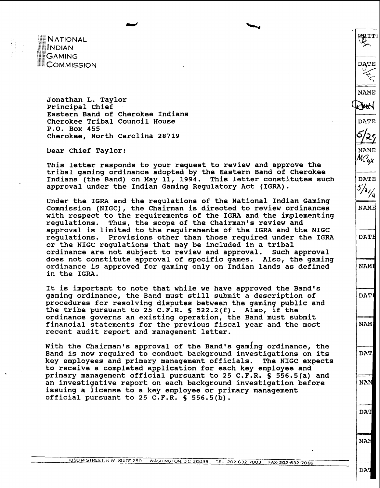**NATIONAL** INDIAN **GAMING COMMISSION** 

:. :

**Jonathan L. Taylor Principal Chief Eastern Band of Cherokee Indians Cherokee Tribal Council House P.O. Box 455 Cherokee, North Carolina 28719** 

**Dear Chief Taylor:** 

**This letter responds to your request to review and approve the tribal gaming ordinance adopted by the Eastern Band of Cherokee Indians (the Band) on May 11, 1994. This letter constitutes such approval under the Indian Gaming Regulatory Act (IGRA).** 

**I** "-4

**Under the IGRA and the regulations of the National Indian Gaming Commission (NIGC), the Chairman is directed to review ordinances with respect to the requirements of the IGRA and the implementing regulations. Thus, the scope of the Chairman's review and approval is limited to the requirements of the IGRA and the NIGC regulations. Provisions other than those required under the IGRA or the NIGC regulations that may be included in a tribal ordinance are not subject to review and approval. Such approval does not constitute approval of specific games. Also, the gaming ordinance is approved for gaming only on Indian lands as defined in the IGRA.** 

**It is important to note that while we have approved the Band's gaming ordinance, the Band must still submit a description of procedures for resolving disputes between the gaming public and the tribe pursuant to 25 C.F.R. S 522.2(f). Also, if the ordinance governs an existing operation, the Band must submit financial statements for the previous fiscal year and the most recent audit report and management letter.** 

**With the Chairman's approval of the Band's gaming ordinance, the Band is now required to conduct background investigations on its key employees and primary management officials. The NIGC expects to receive a completed application for each key employee and primary management official pursuant to 25 C.F.R. S 556.5(a) and an investigative report on each background investigation before issuing a license to a key employee or primary management official pursuant to 25 C.F.R. S 556.5(b).** 

**DAT**  DAT

**DAT** 

**WRITE** 

**DATE** 

**NAME** 

ıнN

**DATE** 

**NAME** М $\mathcal{C}_{\bm{o}\bm{\mathsf{X}}}$ 

**DATE**  $5/3/1$ /al

NAME

**DATH** 

NAMI

DAT.

**NAM** 

**NAM** 

**NW.**  NAM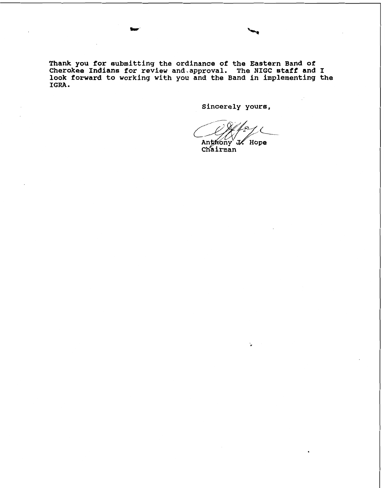**Thank you for submitting the ordinance of the Eastern Band of Cherokee Indians for review and.approva1. The NIGC staff and I look forward to working with you and the Band in implementing the IGRA** .

**Sincerely yours,** 

Anthony  $^{\vee}$  J/.  $\degree$  Hope Chairman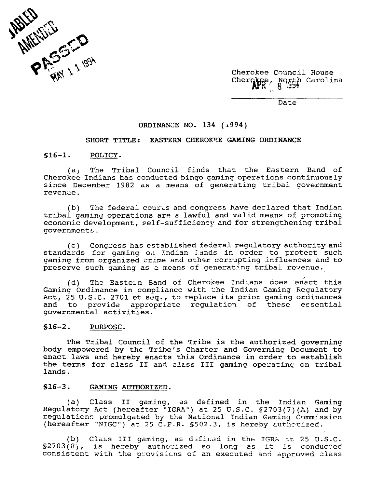

Cherokee Council House Cherokee, Notth Carolina **I** -

Date

#### **ORDINAEZE NO, 134 (i994)**

## SHORT TITLE: EASTERN CHEROKEE GAMING ORDINANCE

### **516-1. POLICY.**

(a, The Tribal Council finds that the Eastern Band of Cherokee Indians has conducted bingo gaming operations continuously since December 1982 as a means of generating tribal government revenue.

(b) The federal courts and congress have declared that Indian tribal gaming operations are a lawful and valid means of promotins economic development, self-sufficiency and for strengthening tribal governments.

(c) Congress has estsblished federal regulatory a~thority and standards for gaming on Indian lands in order to protect such gaming from organized crime and other corrupting influences and to preserve such gaming as a means of generating tribal revenue.

(d) The Eastein Band of Cherokee Indians does enact this Gaming Ordinance in compliance with the Indian Gaming Requlatory Act, 25 U.S.C. 2701 et seq., to replace its prior gaming ordinances and to provide appropriate requlation of these essential governmental activities.

#### $$16-2.$ PURPOSE.

The Tribal Council of the Tribe is the authorized governing body empowered by the Tribe's Charter and Governing Document to enact laws and hereby enacts this Ordinance in order to establish the terms for class II and class III gaming operating on tribal lands.

## **S16-3. GAMING AOTHORIZED.**

(a) Class **I1** gaming, as defined in the Indian Gaming Regulatory Act (hereafter **"IGKAn)** at 25 U.S.C. S2703(7)(A) and by regulations promulgated by the National Indian Gaming Commission (hereafter "NIGC") at 25 C.F.R. \$502.3, is hereby authorized.

(b) Class III gaming, as defined in the IGRA at 25 U.S.C.  $$2703(8)$ , is hereby authorized so long as it is conducted consistent with the provisions of an executed and approved class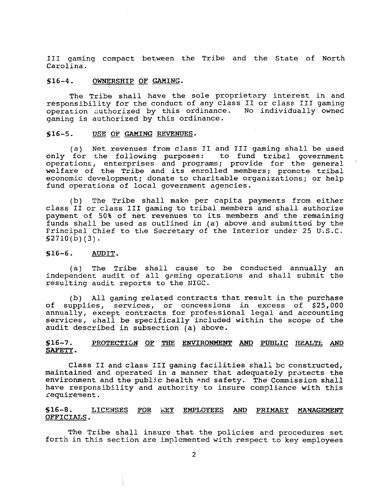I11 gaming compact between the Tribe and the State of North Carolina.

#### $$16-4.$ **OWNERSHIP GAMING.**

The Tribe shall have the sole proprietary interest in and responsibility for the conduct of any class I1 or class I11 gaming operation cuthorized by this ordinance. No individually owned gaming is authorized by this ordinance. authorized by this order<br>authorized by this ordi<br><u>USE OF GAMING REVENUES</u>.

#### $$16-5.$

(a) Net revenues from class **I1** and I11 gaming shall be used only for the following purposes: operations, enterprises and programs; provide for the general welfare of the Tribe and its enrolled members; promote tribal economic development; donate to charitable organizations; or help fund operations of local government agencies.

(b) The Tribe shall make per capita payments from either class I1 or class I11 gaming to tribal members and shall authorize payment of 50% of net revenues to its members and the remaining funds shall be used as outlined in (a) above and submitted by the Frincipal Chief to the Secretary of the Interior under 25 U.S.C.  $$2710(b)(3).$ 

# **S16-6. AUDIT.**

(a) The Tribe shall cause to be conducted annually an independent audit of all gaming operations and shall submit the resulting audit reports to the NIGC.

(b) All gaming related contracts that result in the purchase of supplies, services, or concessions in excess of \$25,000 annually, except contracts for professional legal and accounting services, shall be specifically included within the scope of the audit described in subsection (a) above.

# \$16-7. PROTECTION OF THE ENVIRONMENT AND PUBLIC HEALTE AND **SAFETP** .

Class I1 and class IiI gaming facilities shall bc constructed, maintained and operated in a manner that adequately protects the environment and the public health and safety. The Commission shall have responsibility and authority to insure compliance with this zequirement.

# **S16-8. LICENSES POR** 'I;EY **EMPLOYEES PRIMARY MAWGEMENT OFFICIALS.**

The Tribe shall insure that the policies and procedures set forth in this section are implemented with respect to key employees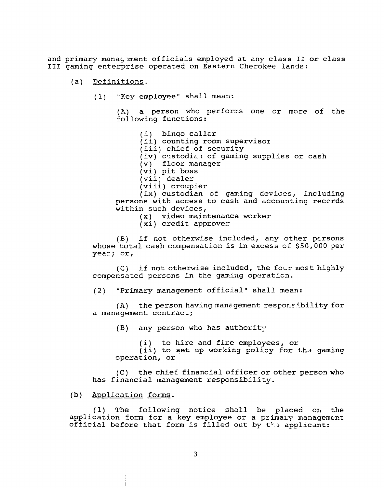and primary manac,,ment officials employed at **zny** class **I1** or class **I11** gaming enterprise operated on Eastern Cherokee lands:

- $(a)$ Definitions.
	- (1) "Key employee" shall mean:

(A) a person who performs one or more of the following functions:

(i) bingo caller (ii) counting room supervisor (iii) chief of security (iv) custodial of gaming supplies or cash (v) floor manager (vi) pit boss (vii) dealer (viii) croupier  $(ix)$  custodian of gaming devices, including persons with access to cash and accounting reccrds within such devices,

**(x)** video maintenance worker

(xi) credit approver

(B) if not otherwise included, any other pcrsons whose total cash compensation is in excess of \$50,000 per year; or,

(C) if not otherwise included, the four most highly compensated persons in the gaming operaticn.

(2) "Primary management official" shall mean:

 $(A)$  the person having management responsibility for a management contract;

(B) any person who has authority

(i) to hire and fire employees, or

 $(i)$  to set up working policy for the gaming operation, or

**(C)** the chief financial officer or other person who has financial management responsibility.

# (b) Application forms.

(1) The following notice shall be placed or, the application form for a key employee or a primaly management official before that £om is filled out by **tF.'l!** applicant: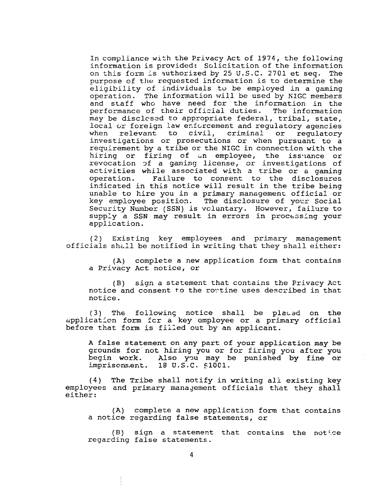In compliance with the Privacy Act of 1974, the following information is provided: Solicitation of the information on this form is authorized by 25 U.S.C. 2701 et seq. The purpose of the requested information is to determine the eligibility of individuals tu be employed in a gaming operation. The information will be used by NIGC members and staff who have need for the information in the<br>performance of their official duties. The information performance of their official duties. may be disclcssd to appropriate federal, tribal, state, local or foreign law enforcement and regulatory agencies<br>when relevant to civil, criminal or regulatory when relevant to investigations or prosecutions or when pursuant to a requirement by a tribe or the NIGC in connection with the hiring or firing of an employee, the issuance or revocation 3f a gaming license, or investigations of activities while associated with a tribe or a gaming<br>operation. Failure to consent to the disclosures Failure to consent to the disclosures indicated in this notice will result in the tribe being unable to hire you in a primary management official or key employee position. The disclosure of your Social Security Number (SSN) is vcluntary. However, failure to supply a SSN may result in errors in processing your application.

(2) Existing key employees and primary management officials shall be notified in writing that they shall either:

(A) complete a new application form that contains a Privacy Act notice, or

(B) sian a statement that contains the Privacy Act notice and consent to the rortine uses described in that notice.

(3) The following notice shall be placed on the application form for a key employee or a primary official before that form is filled out by an applicant.

A false statement on any part of your application may be grounds for not hiring you or for firing you after you<br>begin work. Also you may be punished by fine or Also you may be punished by fine or imprisonment. 18 U.S.C. \$1001.

(4) The Tribe shall notify in writing ali existing key employees and primary management officials that they shall either:

(A) complete a new application form that contains a notice regarding false statements, or

 $(B)$  sign a statement that contains the notice regarding false statements.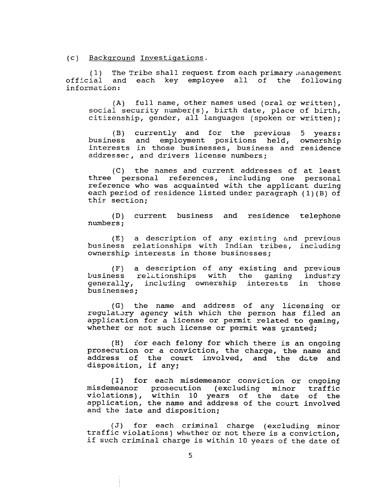(c) Backqround Investiqations.

(1) The Tribe shall request from each primary management<br>ial and each key employee all of the following official and each key employee information:

(A) full name, other names used (oral or written), social security number(s), birth date, place of birth, citizenship, gender, all languages (spoken or written);

(B) currently and for the previous 5 years:<br>ess and employment positions held, ownership business and employment positions held, interests in those businesses, business and residence addresser, and drivers license numbers;

(C) the names and current addresses of at least three personal references, including one personal reference who was acquainted with the applicant during each period of residence listed under paragraph ( 1) (B) of this section;

(D) current business and residence telephone numbers ;

(E) a description of any existing and previous business relationships with Indian tribes, including ownership interests in those husincsses;

(F) a description of any existing and previous business relationships with the gaming industry<br>generally, including ownership interests in those including ownership interests in those businesses;

(G) the name and address of any licensing or regulatory agency with which the person has filed an application for a license or permit related to gaming, whether or not such license or permit was granted:

(H) ior each felony for which there is an ongoing prosecution or a conviction, the charge, the name and address of the court involved, and the date and disposition, if any;

(I) for each misdemeanor conviction or ongoing misdemeanor prosecution (excluding minor traffic violations), within 10 years of the date of the application, the name and address of the court involved and the *date* and disposition;

(J) for each criminal charge (excluding minor traffic violations) whether or not there is a conviction, if such criminal charge is within 10 years of the dete of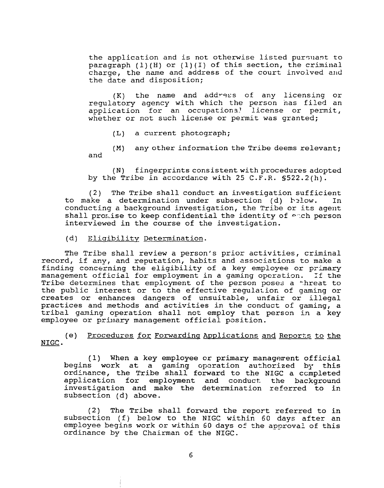the application and is not otherwise listed pursuant to paragraph  $(1)$  (H) or  $(1)$  (I) of this section, the criminal charge, the name and address of the court involved and the date and disposition;

(K) the name and add?-9ss of any licensing or regulatory agency with which the person nas filed an application for an occupation3! license or permit, whether or not such license or permit was granted;

**(L)** a current photograph;

(M) any other information the Tribe deems relevant; and

(N) fingerprints consistent with procedures adopted by the Tribe in accordance with 25 C.F.R. §522.2(h).

(2) The Tribe shall conduct an investigation sufficient<br>ake a determination under subsection (d) helow. In to make a determination under subsection (d) helow. conducting a background investigation, the Tribe or its agent shall promise to keep confidential the identity of  $\epsilon$  ch person interviewed in the course of the investigation.

## (d) Eliqibility Determination.

The Tribe shall review a person's prior activities, criminal record, if any, and reputation, habits and associations to make a finding concerning the eligibility of a key employee or primary management official for employment in a gaming operation. If the Tribe determines that emplcyment of the person poses a threat to the public interest or to the effective regulatior. of gaming or creates or enhances dangers of unsuitable, unfair or illegal practices and methods and activities in the conduct of gaming, a tribe1 gaming operation shall not employ that person in a key employee or primary management official position.

(e) Procedures for Forwarding Applications and Reports to the NIGC .

(1) When a key employee or primary managerent official begins work at a gaming oparation authorized by this ordinance, the Tribe shall forward to the NIGC a ccmpleted application for employment and conduct. the background investigation and make the determination referred to in subsection (d) above.

(2) The Tribe shall forward the report referred to in subsection (f) below to the NIGC within 60 days after an employee begins work or within 60 days of the approval of this ordinance by the Chairman of the NIGC.

6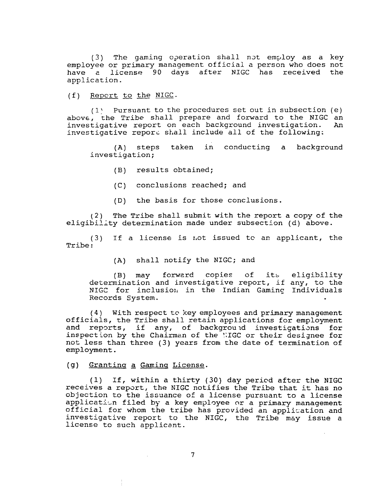(3) The gaming cperation shall not employ as a key employee or primary management official a person who does not have a license 90 days after NIGC has received the application.

(f) Repcrt to the NIGC.

( **1** \ Pursuant to the procedures set out in subsection (e) above, the Tribe shall prepare and forward to the NIGC an investigative report on each background investigation. An investigative report on each background investigation. investigative repori shall include all of the following:

(A) steps taken in conducting a background investigation;

(B) results obtained;

- (C) conclusions reached; and
- (D) the basis for those conclusions.

(2) The Tribe shall submit with the report a copy of the eligibility determination made under subsection  $(d)$  above.

 $(3)$  If a license is not issued to an applicant, the Tribe :

(A) shall notify the NIGC; and

**(B)** may forwerd copies of its eligibility determination and investigative report, if any, to the NIGC for inclusion in the Indian Gaming Individuals Records System.

**(4)** With respect to key employees and primary management officials, the Tribe shall retain applications for employment and reports, if any, of background investigations for inspection by the Chairman of the **?:IGC** or their designee for not less than three (3) years from the date of termination of employment.

# (g) Grantinq **a** Gminq License.

(1) If, within a thirty (30) day pericd after the NIGC receives a repart, the NIGC notifies the Tribe that it has no objection to the issuance of a license pursuant to a license application filed by a key employee or a primary management official for whom the tribe has provided an application and investigative report to the NIGC, the Tribe may issue a license to such applicant.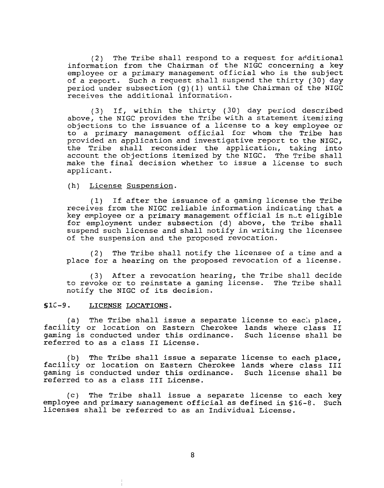$(2)$  The Tribe shall respond to a request for additional information from the Chairman of the NIGC concerning a key employee or a primary management official who is the subject of a report. Such a request shall suspend the thirty (30) day period under subsection (g) **(1)** until the Chairman of the NIGC receives the additional information.

(3) If, within the thirty (30) day period described above, the NIGC provides the Tribe with a statement itemizing objections to the issuance of a license to a key employee or to a primary management official for whom the Tribe has provided an application and investigative report to the NIGC, the Tribe shall reconsider the application, taking into account the objections itemized by the NIGC. The Tribe shall make the final decision whether to issue a license to such applicant.

(h) License Suspension.

(1) If after the issuance of a gaming license the Tribe receives from the NIGC reliable information indicating that a key employee or a primary management official is not eligible for employment under subsection (d) above, the Tribe shall suspend such license and shall notify in writing the licensee of the suspension and the proposed revocation.

(2) The Tribe shall notify the licensee of a time and a place for a hearing on the proposed revocation of a license.

(3) After a revocation hearing, the Tribe shall decide to revoke or to reinstate a gaming license. The Tribe shall notify the NIGC of its decision.

## SIC-9. **LICENSE LOCATIONS.**

(a) The Tribe shall issue a separate license to each place, facility or location on Eastern Cherokee lands where class I1 gaming is conducted under this ordinance. Such license shall be referred to as a class 11 License.

(b) The Tribe shall issue a separate license to each place, facility or location on Eastern Cherokee lands where class III gaming is conducted under this ordinance. Such license shall be referred to as a class I11 License.

(c) The Tribe shall issue a separcte license to each key employee and primary management official as defined in \$16-8. Such licenses shall be referred to as an Individual License.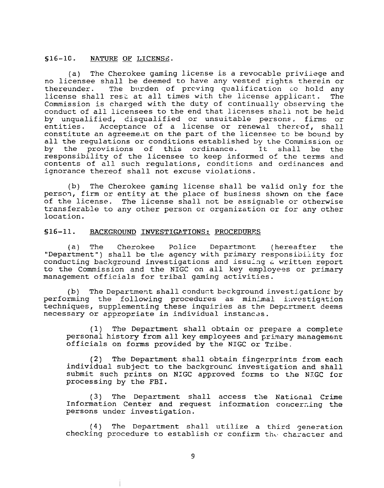# **S16-1C. NATURE LICENSZ.**

(a) The Cherokee gaming license is a revocable priviiege and no licensee shall be deemed to have any vested rights therein or<br>thereunder. The burden of preving qualification to hold any The burden of preving qualification to hold any license shall rest at all times with the license applicant. The Commission is charged with the duty of continually observing the conduct of all licensees to the end that licenses shali not be held by unqualified, disqualified or unsuitable persons, firms or entities. Acceptance of a license or renewal thereof, shall constitute an agreement on the part of the licensee to be bound by all the regulations or conditions established by the Commission or<br>by the provisions of this ordinance. It shall be the the provisions of this ordinance. responsibility of the licensee to keep informed of the terms and contents of all such regulations, conditicns and ordinances and ignorance thereof shall not excuse violations.

(b) The Cherokee gaming license shall be valid only for the person, firm or entity at the place of business shown on the face of the license. The license shall not be assignable or otherwise transferable to any other person or organization or for any other location.

# \$16-11. BACKGROUND INVESTIGATIONS: PROCEDURES

(a) The Cherokee Police Department (hereafter the "Department") shall be the agency with primary responsibility for conducting background investigations and issulng *G* written report to the Commission and the NIGC on all key employees or primary management officials for tribal gaming activities.

(b) The Department shall conduct background investigations by performing the following procedures as minimal investigation techniques, supplementing these inquiries as the Department deems necessary or appropriate in individual instances.

(1) The Department shall obtain or prepare a complete personal history from all key employees and primary management officials on forms provided by the NIGC or Tribe.

(2) The Department shall obtain fingerprints from each individual subject to the background investigation and shall submit such prints on NIGC approved forms to the NIGC for processing by the FBI.

(3) The Department shall access the National Crime Information Center and request information concerning the persons under investigation.

(4) The Department shall utilize a third generation checking procedure to establish or confirm the character and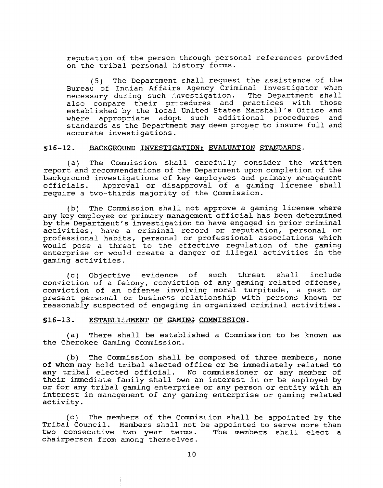reputation of the person through personal references provided on the tribal personal hjstory forms.

 $(5)$  The Department shall request the assistance of the Bureau of Indian Affairs Agency Criminal Investigator when necessary during such investigation. The Department shall also compare their pracedures and practices with those established by the local United States Marshall's Office and<br>where appropriate adopt such additional procedures and where appropriate adopt such additional procedures standards as the Department may deem proper to insure full and accurate investigations.

#### **S16-12. aACXGROUND IhiVESTIGATION: EVALUATION STANDARDS-**

(a) The Commission shall carefully consider the written report and recommendations of the Department upon completion of the background investigations of key employees and primary management<br>officials. Approval or disapproval of a gaming license shall Approval or disapproval of a gaming license shall require a two-thirds majority of the Commission.

(b) The Conmission shall not approve a gaming license where any key employee or primary management official has been determined by the Department's investigation to have engaged in prior criminal activities, have a criminal record or reputation, personal or professional habits, personal or professional associations which would pose a threat to the effective regulation of the gaming enterprise or would create a danger of illegal activities in the gaming activities.

(c) Objective evidence of such threat shall include convicticn of e feiony, conviction of any gaming related offense, conviction of an offense involving moral turpitude, a past or present personal or business relationship with persons known or reasonably suspected of engaging in organized criminal activities.

#### S16-13. ESTABLIZ AMENI' OF GAMING COMMISSION.

(a) There shall be estzblished a Commission to be known as the Cherokee Gaming Commission.

(b) The Commission shall be composed of three members, none of whom may hold tribal elected office or be immediately related to any tribal elected official. No commissioner or any member of their immediate family shall own an interest in or be employed by or for any tribal gaming enterprise or any person or entity with an interest in management of any gaming enterprise or gaming related activity.

 $(c)$  The members of the Commistion shall be appointed by the Tribal Council. Members shall not be appointed to serve more than<br>two consecutive two year terms. The members shall elect a two consecutive two year terms. chairperscn from among themselves.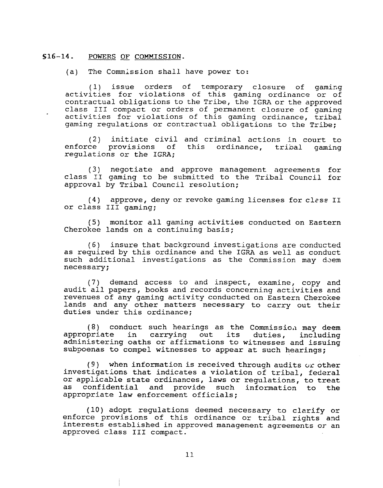## **S16-14. POWERS** OF **COMMISSION.**

(a) The Commission shall have power to:

(1) issue orders of temporary closure of gamizg activities for violations of this gaming ordinance or of contractual obligations to the Tribe, the IGRA or the approved class 111 compact or orders of permanent closure of gaming activities for violations of this gaming ordinance, tribal gaming regulations or contractual obligations to the Tribe;

(2) initiate civil and criminal actions in court to enforce provisions of this ordinance, tribal gaming regulations or the IGRA;

(3) negotiate and approve management agreements for class I1 gaming to be submitted to the Tribal Council for approval by Tribal Council resolution;

(4) approve, deny or revoke gaming licenses for clzss **I1**  or class **I11** gaming;

(5) monitor all gaming activities conducted on Eastern Cherokee lands on a continuing basis;

(6) insure that background investigations are conducted as required by this ordinance and the IGRA as well as conduct such additional investigations as the Commission may deem necessary;

(7) demand access to and inspect, examine, copy and audit all papers, books and records concerning activities and revenues of any gaming activity conducted on Eastern Cherokee lands and any other matters necessary to carry out their duties under this ordinance;

 $(8)$  conduct such hearings as the Commission may deem appropriate in carrying out its duties, including administering oaths or affirmations to witnesses and issuing subpoenas to compel witnesses to appear at such hearings;

**(9)** when information is received through audits **ur** other investigations that indicates a violation of tribal, federal or applicable state ordinances, laws or regulations, to treat as confidential and provide such information to the appropriate law enforcement officials;

(10) adopt regulations deemed necessary to clarify or enforce provisions of this ordinance or tribal rights and interests established in approved management agreements or an approved class **I11** compact.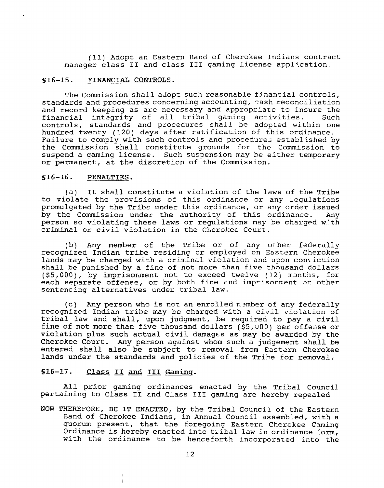(11) Adopt an Eastern Band of Cherokee Indians contract manager class II and class III gaming license application.

# **S16-15.** FINANCIAL **CONTROLS.**

The Commission shall adopt such reasonable financial controls, standards and procedures concerning accounting, rash reconciliation and record keeping as are necessary and appropriate to insure the financial integrity of all tribal gaming activities. Such controls, standards and procedures shall be adopted within one hundred twenty (120) days after ratification of this ordinance. Failure to comply with such controls and procedures established by the Commission shall constitute grounds for the Commission to suspend a gaming license. Such suspension may he either temporary or permanent, at the discretion of the Commission.

### **S16-16.** PENALTIES.

(a) It shall constitute a violation of the laws of the Tribe to violate the provisions of this ordinance or any iegulations promulgated by the Tribe under this ordinanze, or any order issued by the Commission under the authority of this ordinance. Any person so violating these laws or regulations **nzy** be charged w.:th criminal or civil violation in the Cherokee Ccurt.

(b) Any member of the Tribe or of any other federally recognized Indian tribe residing or employed on Eastern Cherokee lands may be charged with a criminal violation and upon conxiction shall be punished by a fine of not more than five thousand dollars (\$5,000), by imprisonment not to exceed twelve (12) months, for each separate offense, or by both fine and imprisonment or other sentencing alternatives under tribal law.

(c) Any person who is not an enrolled n.?mber of any federally recognized Indian tribe may be charged xith a civil violation of tribal law and shall, upon judgment, be required to pay a civil fine of not more than five thousand dollars (\$5,000) per offense or violation plus such actual civil damages as may be awarded by the Cherokee Court. Any person against whom such a judgement shall be entered shall also be subject to removal from Eastern Cherokee lands under the standards and policies of the Trihe for removal.

# S16-17. Class II and III Gaming.

All prior gaming ordinances enacted by the Tribal Council pertaining to Class **I1** cnd Class **I11** gaming are hereby repealed

NOW THEREFORE, BE IT ENACTED, by the Tribal Councii of the Eastern Band of Cherokee Indians, in Annual Council assembled, with a quorum present, that the foregoing Eastern Cherokee Cming Ordinance is hereby enacted into tribal law in ordinance  $\text{form}$ , with the ordinance to be henceforth incorporated into the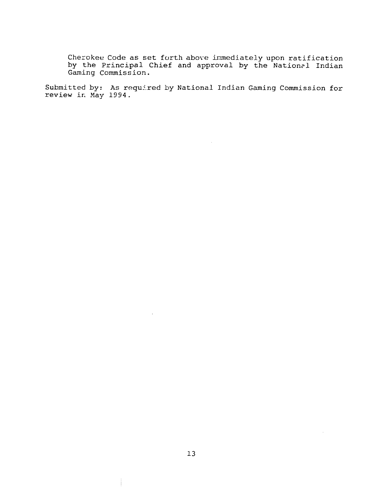**Cherokee Code as set forth above inmediately upon ratification by the principal Chief and approval by the Nation~l Indian Gaming Commission.** 

 $\sim 10^{-1}$ 

Submitted by: As required by National Indian Gaming Commission for  $\blacksquare$ **review ic May 1994.**